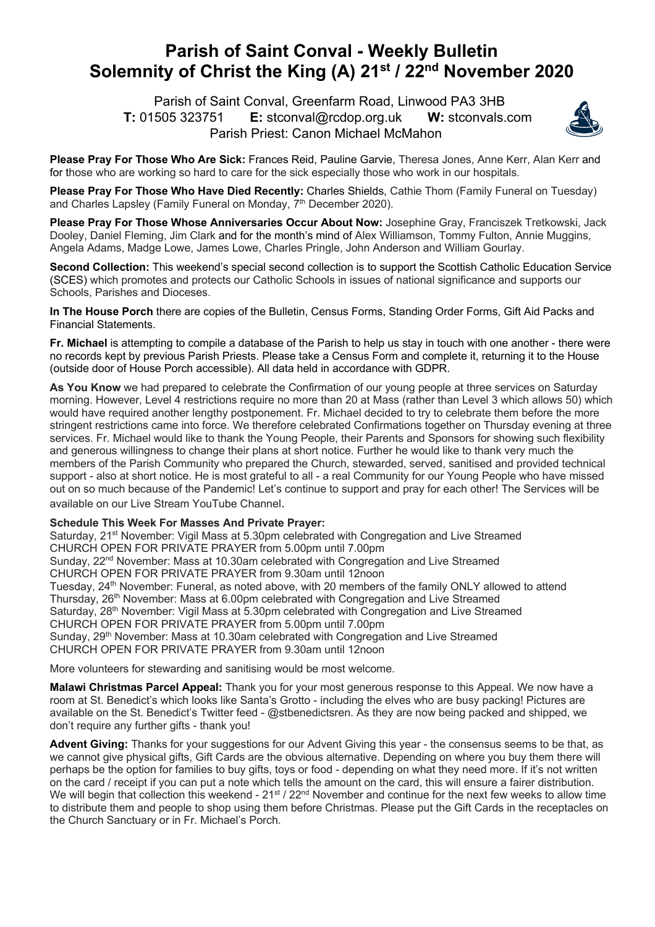## **Parish of Saint Conval - Weekly Bulletin Solemnity of Christ the King (A) 21st / 22nd November 2020**

 Parish of Saint Conval, Greenfarm Road, Linwood PA3 3HB **T:** 01505 323751 **E:** stconval@rcdop.org.uk **W:** stconvals.com Parish Priest: Canon Michael McMahon



**Please Pray For Those Who Are Sick:** Frances Reid, Pauline Garvie, Theresa Jones, Anne Kerr, Alan Kerr and for those who are working so hard to care for the sick especially those who work in our hospitals.

**Please Pray For Those Who Have Died Recently:** Charles Shields, Cathie Thom (Family Funeral on Tuesday) and Charles Lapsley (Family Funeral on Monday, 7<sup>th</sup> December 2020).

**Please Pray For Those Whose Anniversaries Occur About Now:** Josephine Gray, Franciszek Tretkowski, Jack Dooley, Daniel Fleming, Jim Clark and for the month's mind of Alex Williamson, Tommy Fulton, Annie Muggins, Angela Adams, Madge Lowe, James Lowe, Charles Pringle, John Anderson and William Gourlay.

**Second Collection:** This weekend's special second collection is to support the Scottish Catholic Education Service (SCES) which promotes and protects our Catholic Schools in issues of national significance and supports our Schools, Parishes and Dioceses.

**In The House Porch** there are copies of the Bulletin, Census Forms, Standing Order Forms, Gift Aid Packs and Financial Statements.

**Fr. Michael** is attempting to compile a database of the Parish to help us stay in touch with one another - there were no records kept by previous Parish Priests. Please take a Census Form and complete it, returning it to the House (outside door of House Porch accessible). All data held in accordance with GDPR.

**As You Know** we had prepared to celebrate the Confirmation of our young people at three services on Saturday morning. However, Level 4 restrictions require no more than 20 at Mass (rather than Level 3 which allows 50) which would have required another lengthy postponement. Fr. Michael decided to try to celebrate them before the more stringent restrictions came into force. We therefore celebrated Confirmations together on Thursday evening at three services. Fr. Michael would like to thank the Young People, their Parents and Sponsors for showing such flexibility and generous willingness to change their plans at short notice. Further he would like to thank very much the members of the Parish Community who prepared the Church, stewarded, served, sanitised and provided technical support - also at short notice. He is most grateful to all - a real Community for our Young People who have missed out on so much because of the Pandemic! Let's continue to support and pray for each other! The Services will be available on our Live Stream YouTube Channel.

## **Schedule This Week For Masses And Private Prayer:**

Saturday, 21<sup>st</sup> November: Vigil Mass at 5.30pm celebrated with Congregation and Live Streamed CHURCH OPEN FOR PRIVATE PRAYER from 5.00pm until 7.00pm Sunday, 22<sup>nd</sup> November: Mass at 10.30am celebrated with Congregation and Live Streamed CHURCH OPEN FOR PRIVATE PRAYER from 9.30am until 12noon Tuesday, 24<sup>th</sup> November: Funeral, as noted above, with 20 members of the family ONLY allowed to attend Thursday, 26th November: Mass at 6.00pm celebrated with Congregation and Live Streamed Saturday, 28<sup>th</sup> November: Vigil Mass at 5.30pm celebrated with Congregation and Live Streamed CHURCH OPEN FOR PRIVATE PRAYER from 5.00pm until 7.00pm Sunday, 29<sup>th</sup> November: Mass at 10.30am celebrated with Congregation and Live Streamed CHURCH OPEN FOR PRIVATE PRAYER from 9.30am until 12noon

More volunteers for stewarding and sanitising would be most welcome.

**Malawi Christmas Parcel Appeal:** Thank you for your most generous response to this Appeal. We now have a room at St. Benedict's which looks like Santa's Grotto - including the elves who are busy packing! Pictures are available on the St. Benedict's Twitter feed - @stbenedictsren. As they are now being packed and shipped, we don't require any further gifts - thank you!

**Advent Giving:** Thanks for your suggestions for our Advent Giving this year - the consensus seems to be that, as we cannot give physical gifts. Gift Cards are the obvious alternative. Depending on where you buy them there will perhaps be the option for families to buy gifts, toys or food - depending on what they need more. If it's not written on the card / receipt if you can put a note which tells the amount on the card, this will ensure a fairer distribution. We will begin that collection this weekend - 21<sup>st</sup> / 22<sup>nd</sup> November and continue for the next few weeks to allow time to distribute them and people to shop using them before Christmas. Please put the Gift Cards in the receptacles on the Church Sanctuary or in Fr. Michael's Porch.